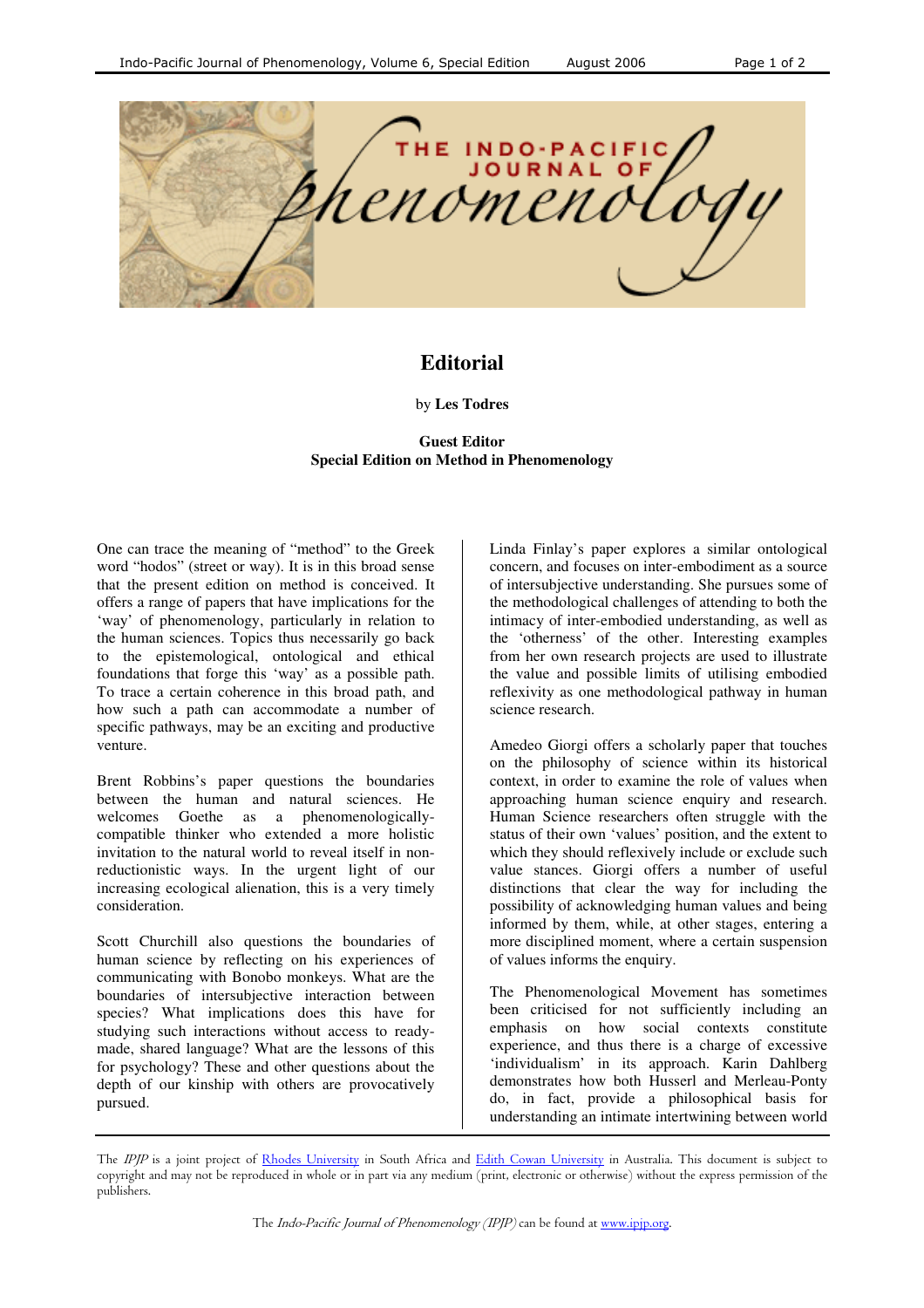

## **Editorial**

## by **Les Todres**

## **Guest Editor Special Edition on Method in Phenomenology**

One can trace the meaning of "method" to the Greek word "hodos" (street or way). It is in this broad sense that the present edition on method is conceived. It offers a range of papers that have implications for the 'way' of phenomenology, particularly in relation to the human sciences. Topics thus necessarily go back to the epistemological, ontological and ethical foundations that forge this 'way' as a possible path. To trace a certain coherence in this broad path, and how such a path can accommodate a number of specific pathways, may be an exciting and productive venture.

Brent Robbins's paper questions the boundaries between the human and natural sciences. He welcomes Goethe as a phenomenologicallycompatible thinker who extended a more holistic invitation to the natural world to reveal itself in nonreductionistic ways. In the urgent light of our increasing ecological alienation, this is a very timely consideration.

Scott Churchill also questions the boundaries of human science by reflecting on his experiences of communicating with Bonobo monkeys. What are the boundaries of intersubjective interaction between species? What implications does this have for studying such interactions without access to readymade, shared language? What are the lessons of this for psychology? These and other questions about the depth of our kinship with others are provocatively pursued.

Linda Finlay's paper explores a similar ontological concern, and focuses on inter-embodiment as a source of intersubjective understanding. She pursues some of the methodological challenges of attending to both the intimacy of inter-embodied understanding, as well as the 'otherness' of the other. Interesting examples from her own research projects are used to illustrate the value and possible limits of utilising embodied reflexivity as one methodological pathway in human science research.

Amedeo Giorgi offers a scholarly paper that touches on the philosophy of science within its historical context, in order to examine the role of values when approaching human science enquiry and research. Human Science researchers often struggle with the status of their own 'values' position, and the extent to which they should reflexively include or exclude such value stances. Giorgi offers a number of useful distinctions that clear the way for including the possibility of acknowledging human values and being informed by them, while, at other stages, entering a more disciplined moment, where a certain suspension of values informs the enquiry.

The Phenomenological Movement has sometimes been criticised for not sufficiently including an emphasis on how social contexts constitute experience, and thus there is a charge of excessive 'individualism' in its approach. Karin Dahlberg demonstrates how both Husserl and Merleau-Ponty do, in fact, provide a philosophical basis for understanding an intimate intertwining between world

The IPJP is a joint project of Rhodes University in South Africa and Edith Cowan University in Australia. This document is subject to copyright and may not be reproduced in whole or in part via any medium (print, electronic or otherwise) without the express permission of the publishers.